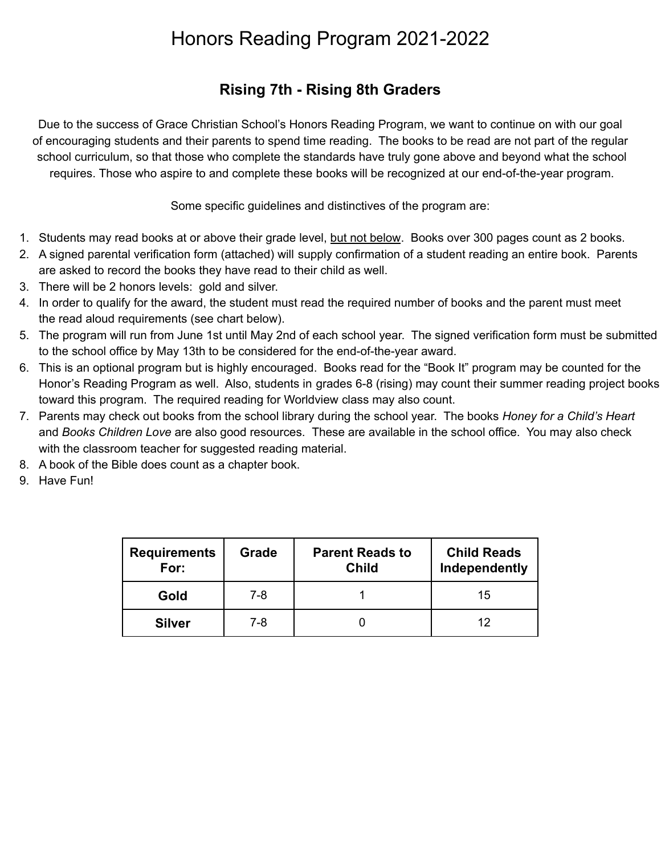## Honors Reading Program 2021-2022

## **Rising 7th - Rising 8th Graders**

Due to the success of Grace Christian School's Honors Reading Program, we want to continue on with our goal of encouraging students and their parents to spend time reading. The books to be read are not part of the regular school curriculum, so that those who complete the standards have truly gone above and beyond what the school requires. Those who aspire to and complete these books will be recognized at our end-of-the-year program.

Some specific guidelines and distinctives of the program are:

- 1. Students may read books at or above their grade level, but not below. Books over 300 pages count as 2 books.
- 2. A signed parental verification form (attached) will supply confirmation of a student reading an entire book. Parents are asked to record the books they have read to their child as well.
- 3. There will be 2 honors levels: gold and silver.
- 4. In order to qualify for the award, the student must read the required number of books and the parent must meet the read aloud requirements (see chart below).
- 5. The program will run from June 1st until May 2nd of each school year. The signed verification form must be submitted to the school office by May 13th to be considered for the end-of-the-year award.
- 6. This is an optional program but is highly encouraged. Books read for the "Book It" program may be counted for the Honor's Reading Program as well. Also, students in grades 6-8 (rising) may count their summer reading project books toward this program. The required reading for Worldview class may also count.
- 7. Parents may check out books from the school library during the school year. The books *Honey for a Child's Heart* and *Books Children Love* are also good resources. These are available in the school office. You may also check with the classroom teacher for suggested reading material.
- 8. A book of the Bible does count as a chapter book.
- 9. Have Fun!

| <b>Requirements</b><br>For: | Grade | <b>Parent Reads to</b><br><b>Child</b> | <b>Child Reads</b><br>Independently |
|-----------------------------|-------|----------------------------------------|-------------------------------------|
| Gold                        | 7-8   |                                        | 15                                  |
| <b>Silver</b>               | 7-8   |                                        | 12                                  |